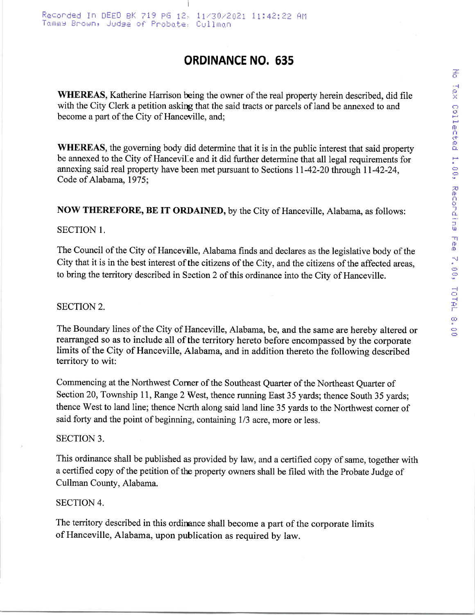# ORDINANCE NO. 635

WHEREAS, Katherine Harrison being the owner of the real property herein described, did file with the City Clerk a petition askirg that the said tracts or parcels of land be annexed to and become a part of the City of Hanceville, and;

WHEREAS, the governing body did determine that it is in the public interest that said property be annexed to the City of Hancevil-e and it did further determine that all legal requirements for annexing said real property have been met pursuant to Sections ll-42-20 through ll-42-24, Code of Alabama, 1975;

NOW THEREFORE, BE IT ORDAINED, by the City of Hanceville, Alabama, as follows:

## SECTION 1.

The Council of the City of Hanceville, Alabama finds and declares as the legislative body of the City that it is in the best interest of the citizens of the City, and the citizens of the affected areas, to bring the territory described in Section 2 of this ordinance into the City of Hanceville.

## SECTION 2.

The Boundary lines of the City of Hanceville, Alabama, be, and the same are hereby altered or rearranged so as to include all of the territory hereto before encompassed by the corporate limits of the City of Hanceville, Alabama, and in addition thereto the following described territory to wit:

Commencing at the Northwest Corner of the Southeast Quarter of the Northeast Quarter of Section 20, Township 11, Range 2 West, thence running East 35 yards; thence South 35 yards; thence West to land line; thence Ncrth along said land line 35 yards to the Northwest corner of said forty and the point of beginning, containing  $1/3$  acre, more or less.

### SECTION 3.

This ordinance shall be published as provided by law, and a certified copy of same, together with a certified copy of the petition of the property owners shall be filed with the Probate Judge of Cullman County, Alabama.

### SECTION 4.

The territory described in this ordinance shall become a part of the corporate limits of Hanceville, Alabama, upon publication as required by law.